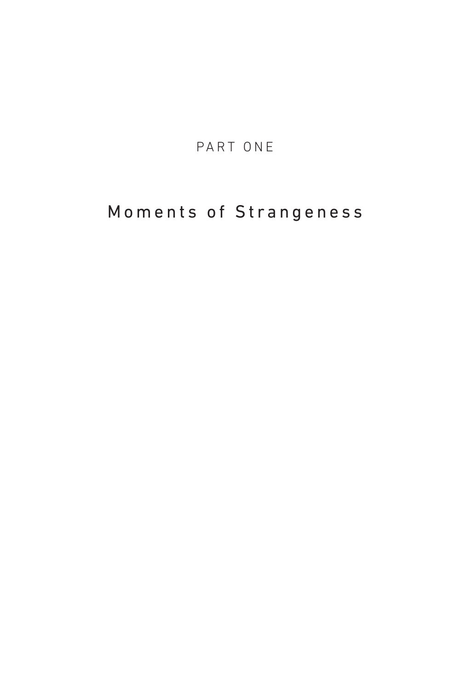## Part One

## Moments of Strangeness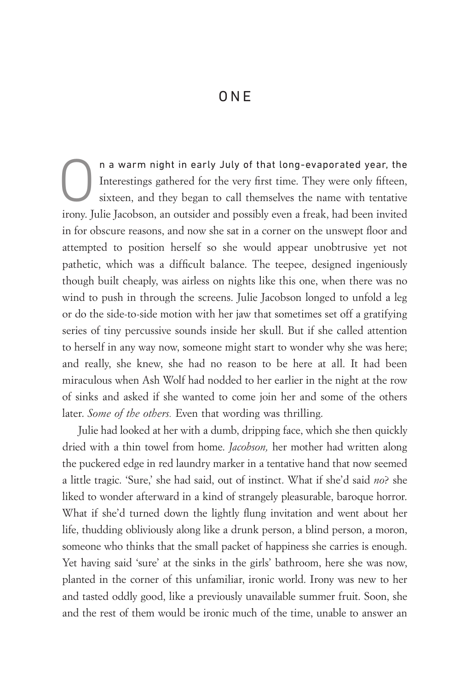## ONE

Interestings gathered for the very first time. They were only fifteen, sixteen, and they began to call themselves the name with tentative Interestings gathered for the very first time. They were only fifteen, sixteen, and they began to call themselves the name with tentative irony. Julie Jacobson, an outsider and possibly even a freak, had been invited in for obscure reasons, and now she sat in a corner on the unswept floor and attempted to position herself so she would appear unobtrusive yet not pathetic, which was a difficult balance. The teepee, designed ingeniously though built cheaply, was airless on nights like this one, when there was no wind to push in through the screens. Julie Jacobson longed to unfold a leg or do the side‑to‑side motion with her jaw that sometimes set off a gratifying series of tiny percussive sounds inside her skull. But if she called attention to herself in any way now, someone might start to wonder why she was here; and really, she knew, she had no reason to be here at all. It had been miraculous when Ash Wolf had nodded to her earlier in the night at the row of sinks and asked if she wanted to come join her and some of the others later. *Some of the others.* Even that wording was thrilling.

Julie had looked at her with a dumb, dripping face, which she then quickly dried with a thin towel from home. *Jacobson,* her mother had written along the puckered edge in red laundry marker in a tentative hand that now seemed a little tragic. 'Sure,' she had said, out of instinct. What if she'd said *no*? she liked to wonder afterward in a kind of strangely pleasurable, baroque horror. What if she'd turned down the lightly flung invitation and went about her life, thudding obliviously along like a drunk person, a blind person, a moron, someone who thinks that the small packet of happiness she carries is enough. Yet having said 'sure' at the sinks in the girls' bathroom, here she was now, planted in the corner of this unfamiliar, ironic world. Irony was new to her and tasted oddly good, like a previously unavailable summer fruit. Soon, she and the rest of them would be ironic much of the time, unable to answer an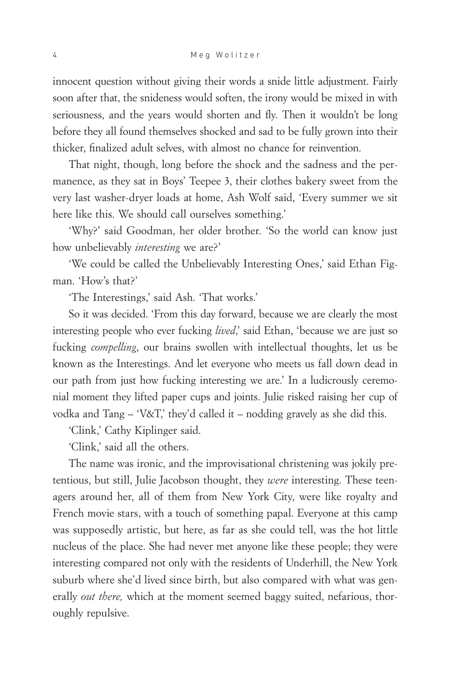innocent question without giving their words a snide little adjustment. Fairly soon after that, the snideness would soften, the irony would be mixed in with seriousness, and the years would shorten and fly. Then it wouldn't be long before they all found themselves shocked and sad to be fully grown into their thicker, finalized adult selves, with almost no chance for reinvention.

That night, though, long before the shock and the sadness and the permanence, as they sat in Boys' Teepee 3, their clothes bakery sweet from the very last washer-dryer loads at home, Ash Wolf said, 'Every summer we sit here like this. We should call ourselves something.'

'Why?' said Goodman, her older brother. 'So the world can know just how unbelievably *interesting* we are?'

'We could be called the Unbelievably Interesting Ones,' said Ethan Figman. 'How's that?'

'The Interestings,' said Ash. 'That works.'

So it was decided. 'From this day forward, because we are clearly the most interesting people who ever fucking *lived*,' said Ethan, 'because we are just so fucking *compelling*, our brains swollen with intellectual thoughts, let us be known as the Interestings. And let everyone who meets us fall down dead in our path from just how fucking interesting we are.' In a ludicrously ceremonial moment they lifted paper cups and joints. Julie risked raising her cup of vodka and Tang – 'V&T,' they'd called it – nodding gravely as she did this.

'Clink,' Cathy Kiplinger said.

'Clink,' said all the others.

The name was ironic, and the improvisational christening was jokily pretentious, but still, Julie Jacobson thought, they *were* interesting. These teen‑ agers around her, all of them from New York City, were like royalty and French movie stars, with a touch of something papal. Everyone at this camp was supposedly artistic, but here, as far as she could tell, was the hot little nucleus of the place. She had never met anyone like these people; they were interesting compared not only with the residents of Underhill, the New York suburb where she'd lived since birth, but also compared with what was generally *out there*, which at the moment seemed baggy suited, nefarious, thoroughly repulsive.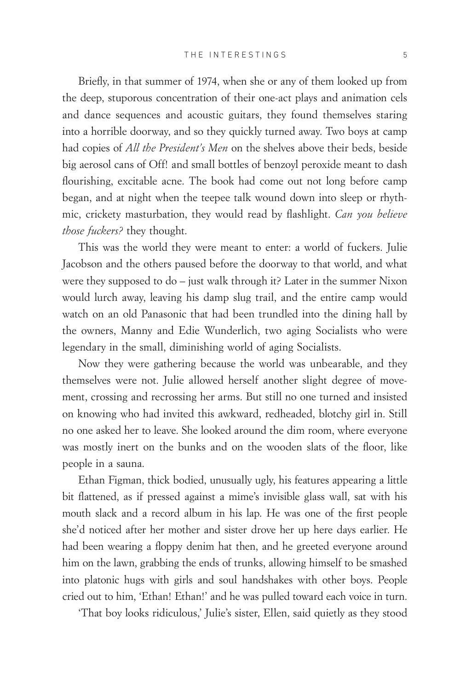Briefly, in that summer of 1974, when she or any of them looked up from the deep, stuporous concentration of their one-act plays and animation cels and dance sequences and acoustic guitars, they found themselves staring into a horrible doorway, and so they quickly turned away. Two boys at camp had copies of *All the President's Men* on the shelves above their beds, beside big aerosol cans of Off! and small bottles of benzoyl peroxide meant to dash flourishing, excitable acne. The book had come out not long before camp began, and at night when the teepee talk wound down into sleep or rhythmic, crickety masturbation, they would read by flashlight. *Can you believe those fuckers?* they thought.

This was the world they were meant to enter: a world of fuckers. Julie Jacobson and the others paused before the doorway to that world, and what were they supposed to do – just walk through it? Later in the summer Nixon would lurch away, leaving his damp slug trail, and the entire camp would watch on an old Panasonic that had been trundled into the dining hall by the owners, Manny and Edie Wunderlich, two aging Socialists who were legendary in the small, diminishing world of aging Socialists.

Now they were gathering because the world was unbearable, and they themselves were not. Julie allowed herself another slight degree of movement, crossing and recrossing her arms. But still no one turned and insisted on knowing who had invited this awkward, redheaded, blotchy girl in. Still no one asked her to leave. She looked around the dim room, where everyone was mostly inert on the bunks and on the wooden slats of the floor, like people in a sauna.

Ethan Figman, thick bodied, unusually ugly, his features appearing a little bit flattened, as if pressed against a mime's invisible glass wall, sat with his mouth slack and a record album in his lap. He was one of the first people she'd noticed after her mother and sister drove her up here days earlier. He had been wearing a floppy denim hat then, and he greeted everyone around him on the lawn, grabbing the ends of trunks, allowing himself to be smashed into platonic hugs with girls and soul handshakes with other boys. People cried out to him, 'Ethan! Ethan!' and he was pulled toward each voice in turn.

'That boy looks ridiculous,' Julie's sister, Ellen, said quietly as they stood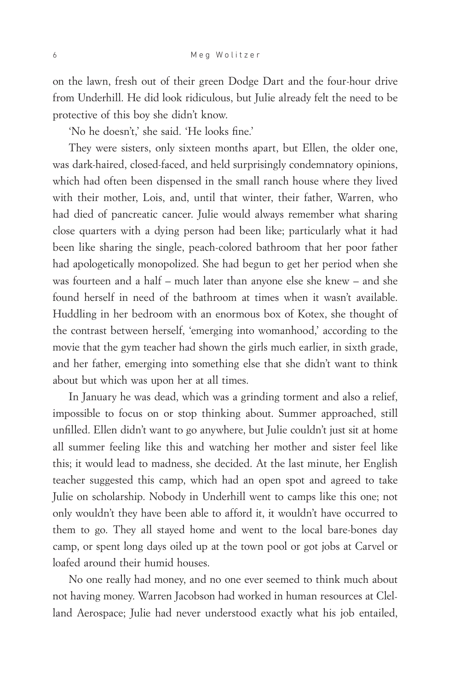on the lawn, fresh out of their green Dodge Dart and the four-hour drive from Underhill. He did look ridiculous, but Julie already felt the need to be protective of this boy she didn't know.

'No he doesn't,' she said. 'He looks fine.'

They were sisters, only sixteen months apart, but Ellen, the older one, was dark-haired, closed-faced, and held surprisingly condemnatory opinions, which had often been dispensed in the small ranch house where they lived with their mother, Lois, and, until that winter, their father, Warren, who had died of pancreatic cancer. Julie would always remember what sharing close quarters with a dying person had been like; particularly what it had been like sharing the single, peach-colored bathroom that her poor father had apologetically monopolized. She had begun to get her period when she was fourteen and a half – much later than anyone else she knew – and she found herself in need of the bathroom at times when it wasn't available. Huddling in her bedroom with an enormous box of Kotex, she thought of the contrast between herself, 'emerging into womanhood,' according to the movie that the gym teacher had shown the girls much earlier, in sixth grade, and her father, emerging into something else that she didn't want to think about but which was upon her at all times.

In January he was dead, which was a grinding torment and also a relief, impossible to focus on or stop thinking about. Summer approached, still unfilled. Ellen didn't want to go anywhere, but Julie couldn't just sit at home all summer feeling like this and watching her mother and sister feel like this; it would lead to madness, she decided. At the last minute, her English teacher suggested this camp, which had an open spot and agreed to take Julie on scholarship. Nobody in Underhill went to camps like this one; not only wouldn't they have been able to afford it, it wouldn't have occurred to them to go. They all stayed home and went to the local bare-bones day camp, or spent long days oiled up at the town pool or got jobs at Carvel or loafed around their humid houses.

No one really had money, and no one ever seemed to think much about not having money. Warren Jacobson had worked in human resources at Clelland Aerospace; Julie had never understood exactly what his job entailed,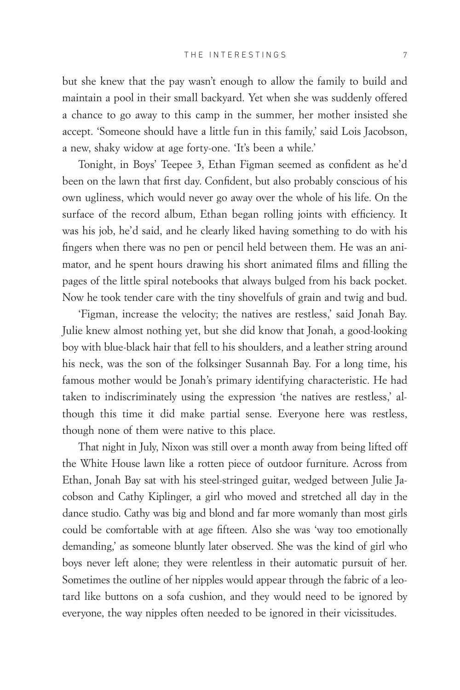but she knew that the pay wasn't enough to allow the family to build and maintain a pool in their small backyard. Yet when she was suddenly offered a chance to go away to this camp in the summer, her mother insisted she accept. 'Someone should have a little fun in this family,' said Lois Jacobson, a new, shaky widow at age forty-one. 'It's been a while.'

Tonight, in Boys' Teepee 3, Ethan Figman seemed as confident as he'd been on the lawn that first day. Confident, but also probably conscious of his own ugliness, which would never go away over the whole of his life. On the surface of the record album, Ethan began rolling joints with efficiency. It was his job, he'd said, and he clearly liked having something to do with his fingers when there was no pen or pencil held between them. He was an animator, and he spent hours drawing his short animated films and filling the pages of the little spiral notebooks that always bulged from his back pocket. Now he took tender care with the tiny shovelfuls of grain and twig and bud.

'Figman, increase the velocity; the natives are restless,' said Jonah Bay. Julie knew almost nothing yet, but she did know that Jonah, a good-looking boy with blue-black hair that fell to his shoulders, and a leather string around his neck, was the son of the folksinger Susannah Bay. For a long time, his famous mother would be Jonah's primary identifying characteristic. He had taken to indiscriminately using the expression 'the natives are restless,' although this time it did make partial sense. Everyone here was restless, though none of them were native to this place.

That night in July, Nixon was still over a month away from being lifted off the White House lawn like a rotten piece of outdoor furniture. Across from Ethan, Jonah Bay sat with his steel-stringed guitar, wedged between Julie Ja‑ cobson and Cathy Kiplinger, a girl who moved and stretched all day in the dance studio. Cathy was big and blond and far more womanly than most girls could be comfortable with at age fifteen. Also she was 'way too emotionally demanding,' as someone bluntly later observed. She was the kind of girl who boys never left alone; they were relentless in their automatic pursuit of her. Sometimes the outline of her nipples would appear through the fabric of a leotard like buttons on a sofa cushion, and they would need to be ignored by everyone, the way nipples often needed to be ignored in their vicissitudes.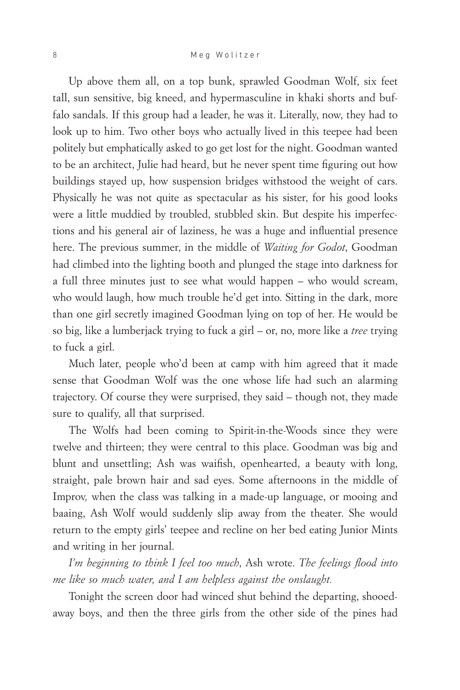Up above them all, on a top bunk, sprawled Goodman Wolf, six feet tall, sun sensitive, big kneed, and hypermasculine in khaki shorts and buf‑ falo sandals. If this group had a leader, he was it. Literally, now, they had to look up to him. Two other boys who actually lived in this teepee had been politely but emphatically asked to go get lost for the night. Goodman wanted to be an architect, Julie had heard, but he never spent time figuring out how buildings stayed up, how suspension bridges withstood the weight of cars. Physically he was not quite as spectacular as his sister, for his good looks were a little muddied by troubled, stubbled skin. But despite his imperfections and his general air of laziness, he was a huge and influential presence here. The previous summer, in the middle of *Waiting for Godot*, Goodman had climbed into the lighting booth and plunged the stage into darkness for a full three minutes just to see what would happen – who would scream, who would laugh, how much trouble he'd get into. Sitting in the dark, more than one girl secretly imagined Goodman lying on top of her. He would be so big, like a lumberjack trying to fuck a girl – or, no, more like a *tree* trying to fuck a girl.

Much later, people who'd been at camp with him agreed that it made sense that Goodman Wolf was the one whose life had such an alarming trajectory. Of course they were surprised, they said – though not, they made sure to qualify, all that surprised.

The Wolfs had been coming to Spirit-in-the-Woods since they were twelve and thirteen; they were central to this place. Goodman was big and blunt and unsettling; Ash was waifish, openhearted, a beauty with long, straight, pale brown hair and sad eyes. Some afternoons in the middle of Improv*,* when the class was talking in a made‑up language, or mooing and baaing, Ash Wolf would suddenly slip away from the theater. She would return to the empty girls' teepee and recline on her bed eating Junior Mints and writing in her journal.

*I'm beginning to think I feel too much*, Ash wrote. *The feelings flood into me like so much water, and I am helpless against the onslaught.*

Tonight the screen door had winced shut behind the departing, shooed away boys, and then the three girls from the other side of the pines had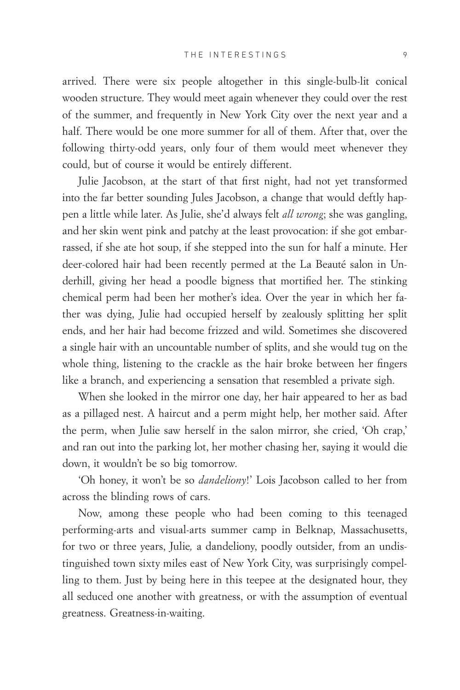arrived. There were six people altogether in this single-bulb-lit conical wooden structure. They would meet again whenever they could over the rest of the summer, and frequently in New York City over the next year and a half. There would be one more summer for all of them. After that, over the following thirty-odd years, only four of them would meet whenever they could, but of course it would be entirely different.

Julie Jacobson, at the start of that first night, had not yet transformed into the far better sounding Jules Jacobson, a change that would deftly happen a little while later. As Julie, she'd always felt *all wrong*; she was gangling, and her skin went pink and patchy at the least provocation: if she got embarrassed, if she ate hot soup, if she stepped into the sun for half a minute. Her deer-colored hair had been recently permed at the La Beauté salon in Underhill, giving her head a poodle bigness that mortified her. The stinking chemical perm had been her mother's idea. Over the year in which her father was dying, Julie had occupied herself by zealously splitting her split ends, and her hair had become frizzed and wild. Sometimes she discovered a single hair with an uncountable number of splits, and she would tug on the whole thing, listening to the crackle as the hair broke between her fingers like a branch, and experiencing a sensation that resembled a private sigh.

When she looked in the mirror one day, her hair appeared to her as bad as a pillaged nest. A haircut and a perm might help, her mother said. After the perm, when Julie saw herself in the salon mirror, she cried, 'Oh crap,' and ran out into the parking lot, her mother chasing her, saying it would die down, it wouldn't be so big tomorrow.

'Oh honey, it won't be so *dandeliony*!' Lois Jacobson called to her from across the blinding rows of cars.

Now, among these people who had been coming to this teenaged performing-arts and visual-arts summer camp in Belknap, Massachusetts, for two or three years, Julie, a dandeliony, poodly outsider, from an undistinguished town sixty miles east of New York City, was surprisingly compelling to them. Just by being here in this teepee at the designated hour, they all seduced one another with greatness, or with the assumption of eventual greatness. Greatness‑in‑waiting.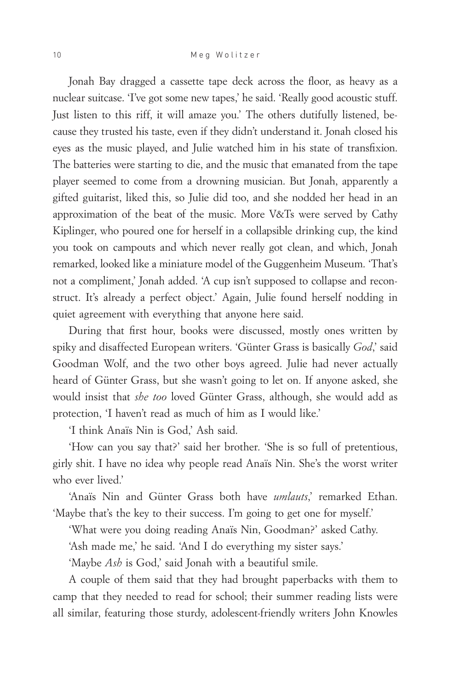Jonah Bay dragged a cassette tape deck across the floor, as heavy as a nuclear suitcase. 'I've got some new tapes,' he said. 'Really good acoustic stuff. Just listen to this riff, it will amaze you.' The others dutifully listened, because they trusted his taste, even if they didn't understand it. Jonah closed his eyes as the music played, and Julie watched him in his state of transfixion. The batteries were starting to die, and the music that emanated from the tape player seemed to come from a drowning musician. But Jonah, apparently a gifted guitarist, liked this, so Julie did too, and she nodded her head in an approximation of the beat of the music. More V&Ts were served by Cathy Kiplinger, who poured one for herself in a collapsible drinking cup, the kind you took on campouts and which never really got clean, and which, Jonah remarked, looked like a miniature model of the Guggenheim Museum. 'That's not a compliment,' Jonah added. 'A cup isn't supposed to collapse and reconstruct. It's already a perfect object.' Again, Julie found herself nodding in quiet agreement with everything that anyone here said.

During that first hour, books were discussed, mostly ones written by spiky and disaffected European writers. 'Günter Grass is basically *God*,' said Goodman Wolf, and the two other boys agreed. Julie had never actually heard of Günter Grass, but she wasn't going to let on. If anyone asked, she would insist that *she too* loved Günter Grass, although, she would add as protection, 'I haven't read as much of him as I would like.'

'I think Anaïs Nin is God,' Ash said.

'How can you say that?' said her brother. 'She is so full of pretentious, girly shit. I have no idea why people read Anaïs Nin. She's the worst writer who ever lived.'

'Anaïs Nin and Günter Grass both have *umlauts*,' remarked Ethan. 'Maybe that's the key to their success. I'm going to get one for myself.'

'What were you doing reading Anaïs Nin, Goodman?' asked Cathy.

'Ash made me,' he said. 'And I do everything my sister says.'

'Maybe *Ash* is God,' said Jonah with a beautiful smile.

A couple of them said that they had brought paperbacks with them to camp that they needed to read for school; their summer reading lists were all similar, featuring those sturdy, adolescent-friendly writers John Knowles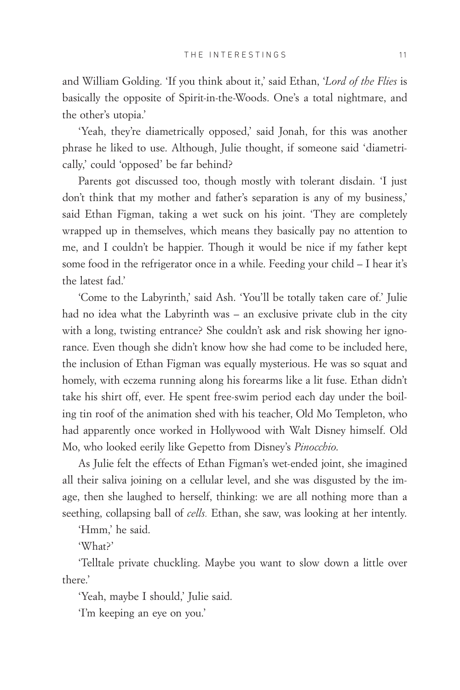and William Golding. 'If you think about it,' said Ethan, '*Lord of the Flies* is basically the opposite of Spirit-in-the-Woods. One's a total nightmare, and the other's utopia.'

'Yeah, they're diametrically opposed,' said Jonah, for this was another phrase he liked to use. Although, Julie thought, if someone said 'diametri‑ cally,' could 'opposed' be far behind?

Parents got discussed too, though mostly with tolerant disdain. 'I just don't think that my mother and father's separation is any of my business,' said Ethan Figman, taking a wet suck on his joint. 'They are completely wrapped up in themselves, which means they basically pay no attention to me, and I couldn't be happier. Though it would be nice if my father kept some food in the refrigerator once in a while. Feeding your child – I hear it's the latest fad.'

'Come to the Labyrinth,' said Ash. 'You'll be totally taken care of.' Julie had no idea what the Labyrinth was – an exclusive private club in the city with a long, twisting entrance? She couldn't ask and risk showing her ignorance. Even though she didn't know how she had come to be included here, the inclusion of Ethan Figman was equally mysterious. He was so squat and homely, with eczema running along his forearms like a lit fuse. Ethan didn't take his shirt off, ever. He spent free-swim period each day under the boiling tin roof of the animation shed with his teacher, Old Mo Templeton, who had apparently once worked in Hollywood with Walt Disney himself. Old Mo, who looked eerily like Gepetto from Disney's *Pinocchio*.

As Julie felt the effects of Ethan Figman's wet-ended joint, she imagined all their saliva joining on a cellular level, and she was disgusted by the im‑ age, then she laughed to herself, thinking: we are all nothing more than a seething, collapsing ball of *cells.* Ethan, she saw, was looking at her intently.

'Hmm,' he said.

'What?'

'Telltale private chuckling. Maybe you want to slow down a little over there.'

'Yeah, maybe I should,' Julie said.

'I'm keeping an eye on you.'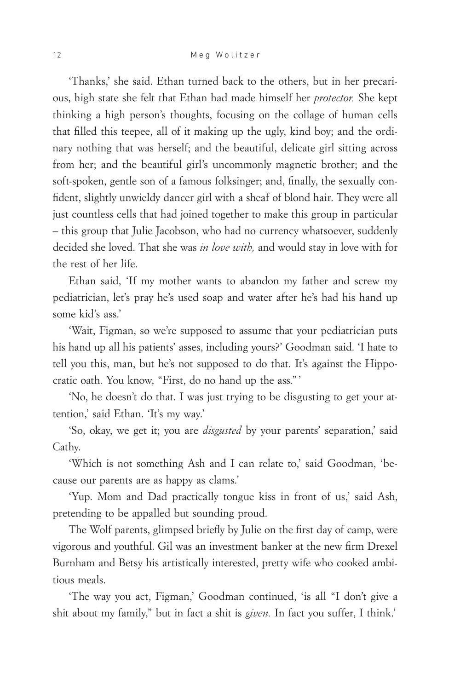'Thanks,' she said. Ethan turned back to the others, but in her precari‑ ous, high state she felt that Ethan had made himself her *protector.* She kept thinking a high person's thoughts, focusing on the collage of human cells that filled this teepee, all of it making up the ugly, kind boy; and the ordi‑ nary nothing that was herself; and the beautiful, delicate girl sitting across from her; and the beautiful girl's uncommonly magnetic brother; and the soft-spoken, gentle son of a famous folksinger; and, finally, the sexually confident, slightly unwieldy dancer girl with a sheaf of blond hair. They were all just countless cells that had joined together to make this group in particular – this group that Julie Jacobson, who had no currency whatsoever, suddenly decided she loved. That she was *in love with,* and would stay in love with for the rest of her life.

Ethan said, 'If my mother wants to abandon my father and screw my pediatrician, let's pray he's used soap and water after he's had his hand up some kid's ass.'

'Wait, Figman, so we're supposed to assume that your pediatrician puts his hand up all his patients' asses, including yours?' Goodman said. 'I hate to tell you this, man, but he's not supposed to do that. It's against the Hippocratic oath. You know, "First, do no hand up the ass."'

'No, he doesn't do that. I was just trying to be disgusting to get your at‑ tention,' said Ethan. 'It's my way.'

'So, okay, we get it; you are *disgusted* by your parents' separation,' said Cathy.

'Which is not something Ash and I can relate to,' said Goodman, 'because our parents are as happy as clams.'

'Yup. Mom and Dad practically tongue kiss in front of us,' said Ash, pretending to be appalled but sounding proud.

The Wolf parents, glimpsed briefly by Julie on the first day of camp, were vigorous and youthful. Gil was an investment banker at the new firm Drexel Burnham and Betsy his artistically interested, pretty wife who cooked ambitious meals.

'The way you act, Figman,' Goodman continued, 'is all "I don't give a shit about my family," but in fact a shit is *given.* In fact you suffer, I think.'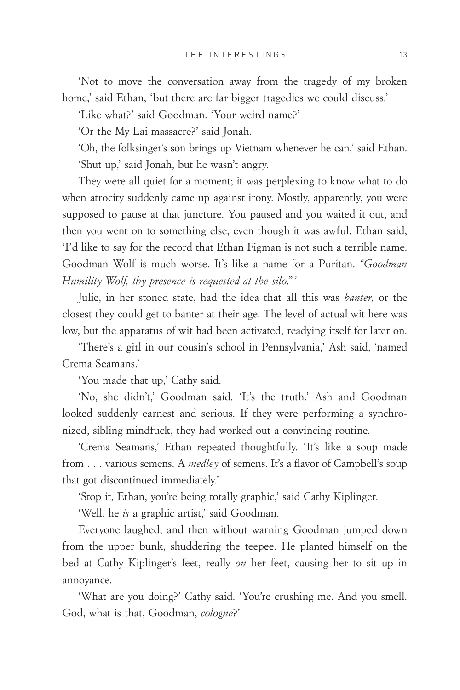'Not to move the conversation away from the tragedy of my broken home,' said Ethan, 'but there are far bigger tragedies we could discuss.'

'Like what?' said Goodman. 'Your weird name?'

'Or the My Lai massacre?' said Jonah.

'Oh, the folksinger's son brings up Vietnam whenever he can,' said Ethan. 'Shut up,' said Jonah, but he wasn't angry.

They were all quiet for a moment; it was perplexing to know what to do when atrocity suddenly came up against irony. Mostly, apparently, you were supposed to pause at that juncture. You paused and you waited it out, and then you went on to something else, even though it was awful. Ethan said, 'I'd like to say for the record that Ethan Figman is not such a terrible name. Goodman Wolf is much worse. It's like a name for a Puritan. *"Goodman Humility Wolf, thy presence is requested at the silo*."*'*

Julie, in her stoned state, had the idea that all this was *banter,* or the closest they could get to banter at their age. The level of actual wit here was low, but the apparatus of wit had been activated, readying itself for later on.

'There's a girl in our cousin's school in Pennsylvania,' Ash said, 'named Crema Seamans.'

'You made that up,' Cathy said.

'No, she didn't,' Goodman said. 'It's the truth.' Ash and Goodman looked suddenly earnest and serious. If they were performing a synchronized, sibling mindfuck, they had worked out a convincing routine.

'Crema Seamans,' Ethan repeated thoughtfully. 'It's like a soup made from . . . various semens. A *medley* of semens. It's a flavor of Campbell's soup that got discontinued immediately.'

'Stop it, Ethan, you're being totally graphic,' said Cathy Kiplinger.

'Well, he *is* a graphic artist,' said Goodman.

Everyone laughed, and then without warning Goodman jumped down from the upper bunk, shuddering the teepee. He planted himself on the bed at Cathy Kiplinger's feet, really *on* her feet, causing her to sit up in annoyance.

'What are you doing?' Cathy said. 'You're crushing me. And you smell. God, what is that, Goodman, *cologne*?'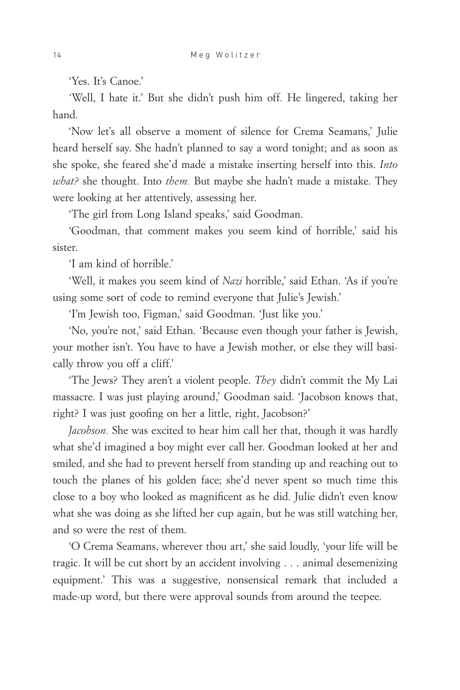'Yes. It's Canoe.'

*'*Well, I hate it.' But she didn't push him off. He lingered, taking her hand.

'Now let's all observe a moment of silence for Crema Seamans,' Julie heard herself say. She hadn't planned to say a word tonight; and as soon as she spoke, she feared she'd made a mistake inserting herself into this. *Into what?* she thought. Into *them.* But maybe she hadn't made a mistake. They were looking at her attentively, assessing her.

'The girl from Long Island speaks,' said Goodman.

'Goodman, that comment makes you seem kind of horrible,' said his sister.

'I am kind of horrible.'

'Well, it makes you seem kind of *Nazi* horrible,' said Ethan. 'As if you're using some sort of code to remind everyone that Julie's Jewish.'

'I'm Jewish too, Figman,' said Goodman. 'Just like you.'

'No, you're not,' said Ethan. 'Because even though your father is Jewish, your mother isn't. You have to have a Jewish mother, or else they will basically throw you off a cliff.'

'The Jews? They aren't a violent people. *They* didn't commit the My Lai massacre. I was just playing around,' Goodman said. 'Jacobson knows that, right? I was just goofing on her a little, right, Jacobson?'

*Jacobson.* She was excited to hear him call her that, though it was hardly what she'd imagined a boy might ever call her. Goodman looked at her and smiled, and she had to prevent herself from standing up and reaching out to touch the planes of his golden face; she'd never spent so much time this close to a boy who looked as magnificent as he did. Julie didn't even know what she was doing as she lifted her cup again, but he was still watching her, and so were the rest of them.

'O Crema Seamans, wherever thou art,' she said loudly, 'your life will be tragic. It will be cut short by an accident involving . . . animal desemenizing equipment.' This was a suggestive, nonsensical remark that included a made-up word, but there were approval sounds from around the teepee.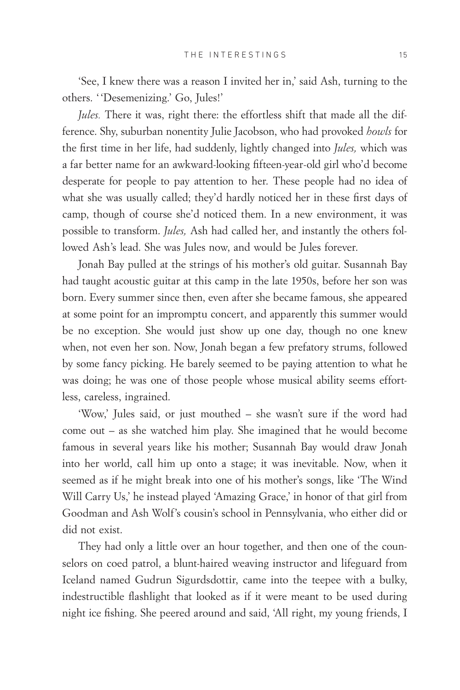'See, I knew there was a reason I invited her in,' said Ash, turning to the others. ''Desemenizing.' Go, Jules!'

*Jules*. There it was, right there: the effortless shift that made all the difference. Shy, suburban nonentity Julie Jacobson, who had provoked *howls* for the first time in her life, had suddenly, lightly changed into *Jules,* which was a far better name for an awkward-looking fifteen-year-old girl who'd become desperate for people to pay attention to her. These people had no idea of what she was usually called; they'd hardly noticed her in these first days of camp, though of course she'd noticed them. In a new environment, it was possible to transform. *Jules*, Ash had called her, and instantly the others followed Ash's lead. She was Jules now, and would be Jules forever.

Jonah Bay pulled at the strings of his mother's old guitar. Susannah Bay had taught acoustic guitar at this camp in the late 1950s, before her son was born. Every summer since then, even after she became famous, she appeared at some point for an impromptu concert, and apparently this summer would be no exception. She would just show up one day, though no one knew when, not even her son. Now, Jonah began a few prefatory strums, followed by some fancy picking. He barely seemed to be paying attention to what he was doing; he was one of those people whose musical ability seems effortless, careless, ingrained.

'Wow,' Jules said, or just mouthed – she wasn't sure if the word had come out – as she watched him play. She imagined that he would become famous in several years like his mother; Susannah Bay would draw Jonah into her world, call him up onto a stage; it was inevitable. Now, when it seemed as if he might break into one of his mother's songs, like 'The Wind Will Carry Us,' he instead played 'Amazing Grace,' in honor of that girl from Goodman and Ash Wolf's cousin's school in Pennsylvania, who either did or did not exist.

They had only a little over an hour together, and then one of the counselors on coed patrol, a blunt-haired weaving instructor and lifeguard from Iceland named Gudrun Sigurdsdottir, came into the teepee with a bulky, indestructible flashlight that looked as if it were meant to be used during night ice fishing. She peered around and said, 'All right, my young friends, I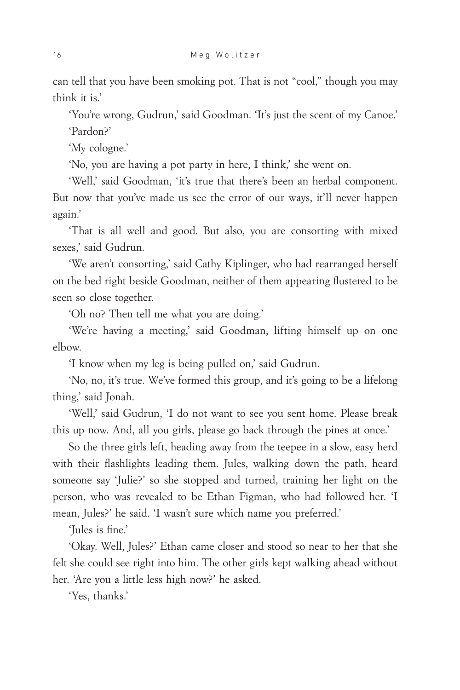can tell that you have been smoking pot. That is not "cool," though you may think it is.'

'You're wrong, Gudrun,' said Goodman. 'It's just the scent of my Canoe.' 'Pardon?'

'My cologne.'

'No, you are having a pot party in here, I think,' she went on.

'Well,' said Goodman, 'it's true that there's been an herbal component. But now that you've made us see the error of our ways, it'll never happen again.'

'That is all well and good. But also, you are consorting with mixed sexes,' said Gudrun.

'We aren't consorting,' said Cathy Kiplinger, who had rearranged herself on the bed right beside Goodman, neither of them appearing flustered to be seen so close together.

'Oh no? Then tell me what you are doing.'

'We're having a meeting,' said Goodman, lifting himself up on one elbow.

'I know when my leg is being pulled on,' said Gudrun.

'No, no, it's true. We've formed this group, and it's going to be a lifelong thing,' said Jonah.

'Well,' said Gudrun, 'I do not want to see you sent home. Please break this up now. And, all you girls, please go back through the pines at once.'

So the three girls left, heading away from the teepee in a slow, easy herd with their flashlights leading them. Jules, walking down the path, heard someone say 'Julie?' so she stopped and turned, training her light on the person, who was revealed to be Ethan Figman, who had followed her. 'I mean, Jules?' he said. 'I wasn't sure which name you preferred.'

'Jules is fine.'

'Okay. Well, Jules?' Ethan came closer and stood so near to her that she felt she could see right into him. The other girls kept walking ahead without her. 'Are you a little less high now?' he asked.

'Yes, thanks.'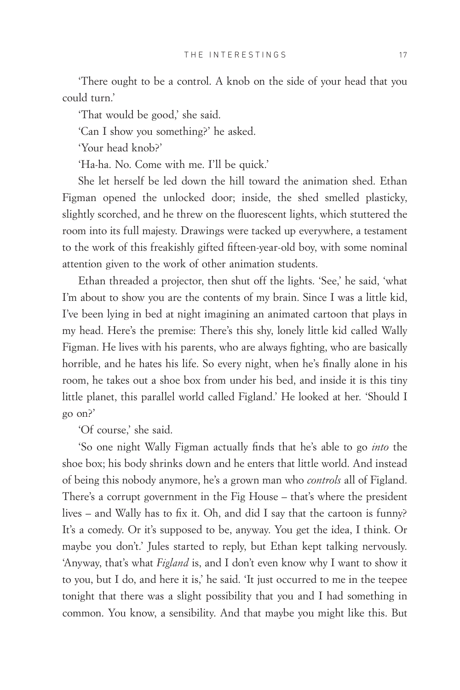'There ought to be a control. A knob on the side of your head that you could turn.'

'That would be good,' she said.

'Can I show you something?' he asked.

'Your head knob?'

'Ha‑ha. No. Come with me. I'll be quick.'

She let herself be led down the hill toward the animation shed. Ethan Figman opened the unlocked door; inside, the shed smelled plasticky, slightly scorched, and he threw on the fluorescent lights, which stuttered the room into its full majesty. Drawings were tacked up everywhere, a testament to the work of this freakishly gifted fifteen-year-old boy, with some nominal attention given to the work of other animation students.

Ethan threaded a projector, then shut off the lights. 'See,' he said, 'what I'm about to show you are the contents of my brain. Since I was a little kid, I've been lying in bed at night imagining an animated cartoon that plays in my head. Here's the premise: There's this shy, lonely little kid called Wally Figman. He lives with his parents, who are always fighting, who are basically horrible, and he hates his life. So every night, when he's finally alone in his room, he takes out a shoe box from under his bed, and inside it is this tiny little planet, this parallel world called Figland.' He looked at her. 'Should I go on?'

'Of course,' she said.

'So one night Wally Figman actually finds that he's able to go *into* the shoe box; his body shrinks down and he enters that little world. And instead of being this nobody anymore, he's a grown man who *controls* all of Figland. There's a corrupt government in the Fig House – that's where the president lives – and Wally has to fix it. Oh, and did I say that the cartoon is funny? It's a comedy. Or it's supposed to be, anyway. You get the idea, I think. Or maybe you don't.' Jules started to reply, but Ethan kept talking nervously. 'Anyway, that's what *Figland* is, and I don't even know why I want to show it to you, but I do, and here it is,' he said. 'It just occurred to me in the teepee tonight that there was a slight possibility that you and I had something in common. You know, a sensibility. And that maybe you might like this. But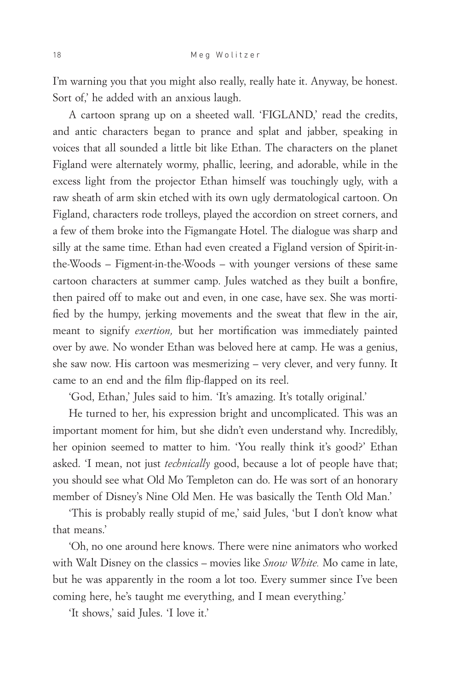I'm warning you that you might also really, really hate it. Anyway, be honest. Sort of,' he added with an anxious laugh.

A cartoon sprang up on a sheeted wall. 'FIGLAND,' read the credits, and antic characters began to prance and splat and jabber, speaking in voices that all sounded a little bit like Ethan. The characters on the planet Figland were alternately wormy, phallic, leering, and adorable, while in the excess light from the projector Ethan himself was touchingly ugly, with a raw sheath of arm skin etched with its own ugly dermatological cartoon. On Figland, characters rode trolleys, played the accordion on street corners, and a few of them broke into the Figmangate Hotel. The dialogue was sharp and silly at the same time. Ethan had even created a Figland version of Spirit-inthe-Woods – Figment-in-the-Woods – with younger versions of these same cartoon characters at summer camp. Jules watched as they built a bonfire, then paired off to make out and even, in one case, have sex. She was mortified by the humpy, jerking movements and the sweat that flew in the air, meant to signify *exertion,* but her mortification was immediately painted over by awe. No wonder Ethan was beloved here at camp. He was a genius, she saw now. His cartoon was mesmerizing – very clever, and very funny. It came to an end and the film flip-flapped on its reel.

'God, Ethan,' Jules said to him. 'It's amazing. It's totally original.'

He turned to her, his expression bright and uncomplicated. This was an important moment for him, but she didn't even understand why. Incredibly, her opinion seemed to matter to him. 'You really think it's good?' Ethan asked. 'I mean, not just *technically* good, because a lot of people have that; you should see what Old Mo Templeton can do. He was sort of an honorary member of Disney's Nine Old Men. He was basically the Tenth Old Man.'

'This is probably really stupid of me,' said Jules, 'but I don't know what that means.'

'Oh, no one around here knows. There were nine animators who worked with Walt Disney on the classics – movies like *Snow White.* Mo came in late, but he was apparently in the room a lot too. Every summer since I've been coming here, he's taught me everything, and I mean everything.'

'It shows,' said Jules. 'I love it.'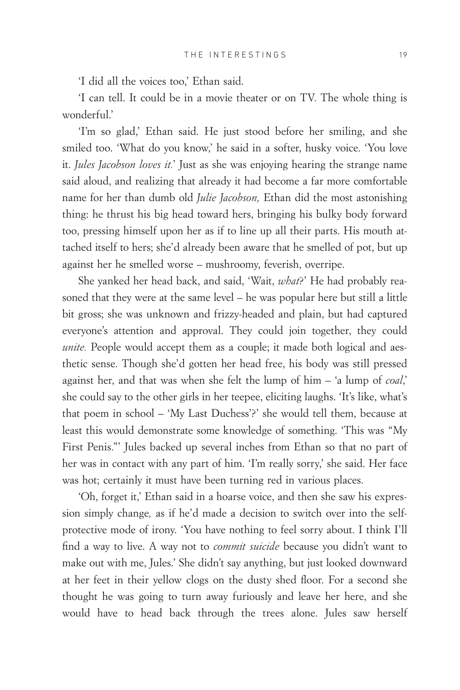'I did all the voices too,' Ethan said.

'I can tell. It could be in a movie theater or on TV. The whole thing is wonderful.'

'I'm so glad,' Ethan said. He just stood before her smiling, and she smiled too. 'What do you know,' he said in a softer, husky voice. 'You love it. *Jules Jacobson loves it.*' Just as she was enjoying hearing the strange name said aloud, and realizing that already it had become a far more comfortable name for her than dumb old *Julie Jacobson,* Ethan did the most astonishing thing: he thrust his big head toward hers, bringing his bulky body forward too, pressing himself upon her as if to line up all their parts. His mouth attached itself to hers; she'd already been aware that he smelled of pot, but up against her he smelled worse – mushroomy, feverish, overripe.

She yanked her head back, and said, 'Wait, *what*?' He had probably reasoned that they were at the same level – he was popular here but still a little bit gross; she was unknown and frizzy-headed and plain, but had captured everyone's attention and approval. They could join together, they could *unite*. People would accept them as a couple; it made both logical and aesthetic sense. Though she'd gotten her head free, his body was still pressed against her, and that was when she felt the lump of him – 'a lump of *coal*,' she could say to the other girls in her teepee, eliciting laughs. 'It's like, what's that poem in school – 'My Last Duchess'?' she would tell them, because at least this would demonstrate some knowledge of something. 'This was "My First Penis."' Jules backed up several inches from Ethan so that no part of her was in contact with any part of him. 'I'm really sorry,' she said. Her face was hot; certainly it must have been turning red in various places.

'Oh, forget it,' Ethan said in a hoarse voice, and then she saw his expression simply change*,* as if he'd made a decision to switch over into the self protective mode of irony. 'You have nothing to feel sorry about. I think I'll find a way to live. A way not to *commit suicide* because you didn't want to make out with me, Jules.' She didn't say anything, but just looked downward at her feet in their yellow clogs on the dusty shed floor. For a second she thought he was going to turn away furiously and leave her here, and she would have to head back through the trees alone. Jules saw herself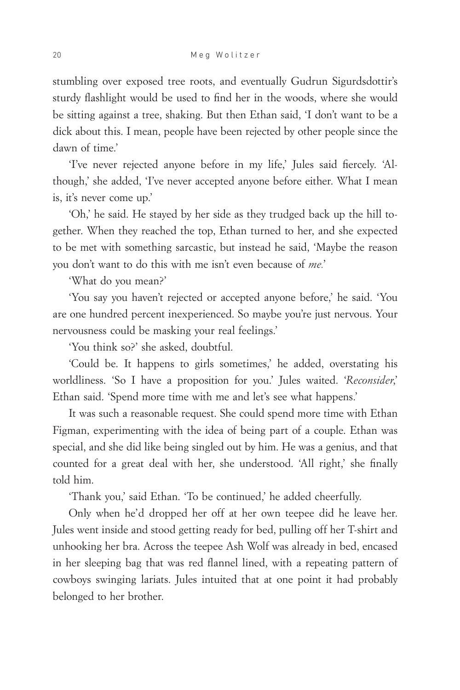stumbling over exposed tree roots, and eventually Gudrun Sigurdsdottir's sturdy flashlight would be used to find her in the woods, where she would be sitting against a tree, shaking. But then Ethan said, 'I don't want to be a dick about this. I mean, people have been rejected by other people since the dawn of time.'

'I've never rejected anyone before in my life,' Jules said fiercely. 'Al‑ though,' she added, 'I've never accepted anyone before either. What I mean is, it's never come up.'

'Oh,' he said. He stayed by her side as they trudged back up the hill to‑ gether. When they reached the top, Ethan turned to her, and she expected to be met with something sarcastic, but instead he said, 'Maybe the reason you don't want to do this with me isn't even because of *me.*'

'What do you mean?'

'You say you haven't rejected or accepted anyone before,' he said. 'You are one hundred percent inexperienced. So maybe you're just nervous. Your nervousness could be masking your real feelings.'

'You think so?' she asked, doubtful.

'Could be. It happens to girls sometimes,' he added, overstating his worldliness. 'So I have a proposition for you.' Jules waited. '*Reconsider*,' Ethan said. 'Spend more time with me and let's see what happens.'

It was such a reasonable request. She could spend more time with Ethan Figman, experimenting with the idea of being part of a couple. Ethan was special, and she did like being singled out by him. He was a genius, and that counted for a great deal with her, she understood. 'All right,' she finally told him.

'Thank you,' said Ethan. 'To be continued,' he added cheerfully.

Only when he'd dropped her off at her own teepee did he leave her. Jules went inside and stood getting ready for bed, pulling off her T‑shirt and unhooking her bra. Across the teepee Ash Wolf was already in bed, encased in her sleeping bag that was red flannel lined, with a repeating pattern of cowboys swinging lariats. Jules intuited that at one point it had probably belonged to her brother.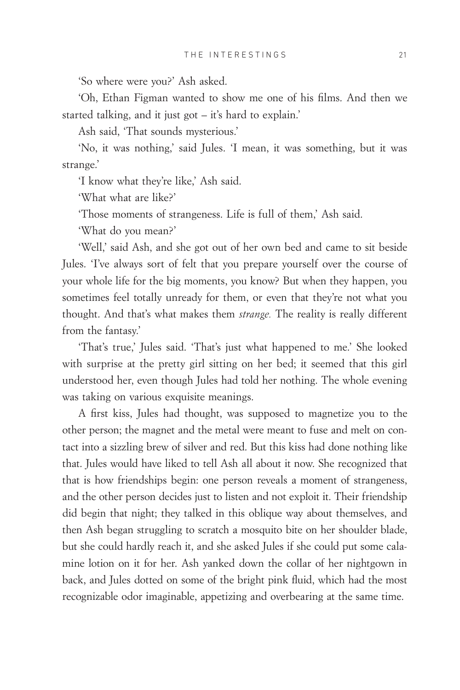'So where were you?' Ash asked.

'Oh, Ethan Figman wanted to show me one of his films. And then we started talking, and it just got – it's hard to explain.'

Ash said, 'That sounds mysterious.'

'No, it was nothing,' said Jules. 'I mean, it was something, but it was strange.'

'I know what they're like,' Ash said.

'What what are like?'

'Those moments of strangeness. Life is full of them,' Ash said.

'What do you mean?'

'Well,' said Ash, and she got out of her own bed and came to sit beside Jules. 'I've always sort of felt that you prepare yourself over the course of your whole life for the big moments, you know? But when they happen, you sometimes feel totally unready for them, or even that they're not what you thought. And that's what makes them *strange.* The reality is really different from the fantasy.'

'That's true,' Jules said. 'That's just what happened to me.' She looked with surprise at the pretty girl sitting on her bed; it seemed that this girl understood her, even though Jules had told her nothing. The whole evening was taking on various exquisite meanings.

A first kiss, Jules had thought, was supposed to magnetize you to the other person; the magnet and the metal were meant to fuse and melt on contact into a sizzling brew of silver and red. But this kiss had done nothing like that. Jules would have liked to tell Ash all about it now. She recognized that that is how friendships begin: one person reveals a moment of strangeness, and the other person decides just to listen and not exploit it. Their friendship did begin that night; they talked in this oblique way about themselves, and then Ash began struggling to scratch a mosquito bite on her shoulder blade, but she could hardly reach it, and she asked Jules if she could put some calamine lotion on it for her. Ash yanked down the collar of her nightgown in back, and Jules dotted on some of the bright pink fluid, which had the most recognizable odor imaginable, appetizing and overbearing at the same time.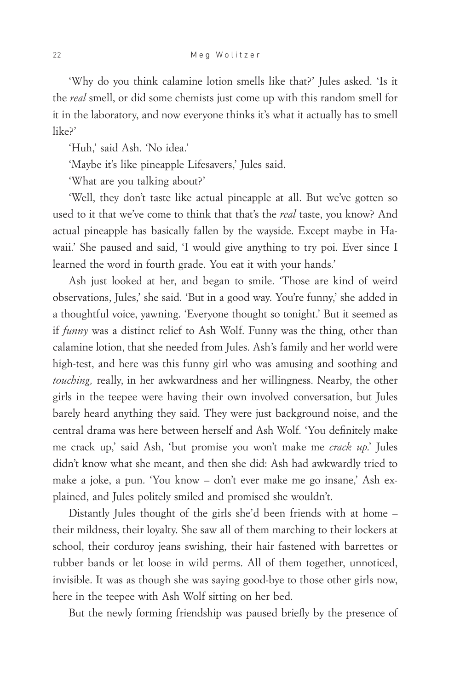'Why do you think calamine lotion smells like that?' Jules asked. 'Is it the *real* smell, or did some chemists just come up with this random smell for it in the laboratory, and now everyone thinks it's what it actually has to smell like?'

'Huh,' said Ash. 'No idea.'

'Maybe it's like pineapple Lifesavers,' Jules said.

'What are you talking about?'

'Well, they don't taste like actual pineapple at all. But we've gotten so used to it that we've come to think that that's the *real* taste, you know? And actual pineapple has basically fallen by the wayside. Except maybe in Hawaii.' She paused and said, 'I would give anything to try poi. Ever since I learned the word in fourth grade. You eat it with your hands.'

Ash just looked at her, and began to smile. 'Those are kind of weird observations, Jules,' she said. 'But in a good way. You're funny,' she added in a thoughtful voice, yawning. 'Everyone thought so tonight.' But it seemed as if *funny* was a distinct relief to Ash Wolf. Funny was the thing, other than calamine lotion, that she needed from Jules. Ash's family and her world were high-test, and here was this funny girl who was amusing and soothing and *touching,* really, in her awkwardness and her willingness. Nearby, the other girls in the teepee were having their own involved conversation, but Jules barely heard anything they said. They were just background noise, and the central drama was here between herself and Ash Wolf. 'You definitely make me crack up,' said Ash, 'but promise you won't make me *crack up*.' Jules didn't know what she meant, and then she did: Ash had awkwardly tried to make a joke, a pun. 'You know – don't ever make me go insane,' Ash explained, and Jules politely smiled and promised she wouldn't.

Distantly Jules thought of the girls she'd been friends with at home – their mildness, their loyalty. She saw all of them marching to their lockers at school, their corduroy jeans swishing, their hair fastened with barrettes or rubber bands or let loose in wild perms. All of them together, unnoticed, invisible. It was as though she was saying good-bye to those other girls now, here in the teepee with Ash Wolf sitting on her bed.

But the newly forming friendship was paused briefly by the presence of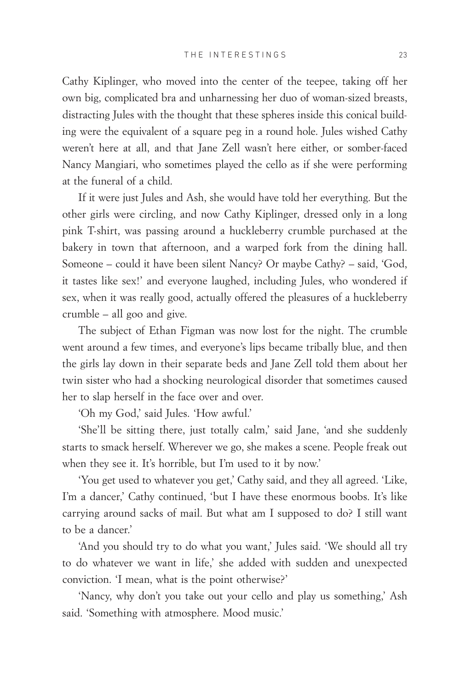Cathy Kiplinger, who moved into the center of the teepee, taking off her own big, complicated bra and unharnessing her duo of woman-sized breasts, distracting Jules with the thought that these spheres inside this conical build– ing were the equivalent of a square peg in a round hole. Jules wished Cathy weren't here at all, and that Jane Zell wasn't here either, or somber-faced Nancy Mangiari, who sometimes played the cello as if she were performing at the funeral of a child.

If it were just Jules and Ash, she would have told her everything. But the other girls were circling, and now Cathy Kiplinger, dressed only in a long pink T‑shirt, was passing around a huckleberry crumble purchased at the bakery in town that afternoon, and a warped fork from the dining hall. Someone – could it have been silent Nancy? Or maybe Cathy? – said, 'God, it tastes like sex!' and everyone laughed, including Jules, who wondered if sex, when it was really good, actually offered the pleasures of a huckleberry crumble – all goo and give.

The subject of Ethan Figman was now lost for the night. The crumble went around a few times, and everyone's lips became tribally blue, and then the girls lay down in their separate beds and Jane Zell told them about her twin sister who had a shocking neurological disorder that sometimes caused her to slap herself in the face over and over.

'Oh my God,' said Jules. 'How awful.'

'She'll be sitting there, just totally calm,' said Jane, 'and she suddenly starts to smack herself. Wherever we go, she makes a scene. People freak out when they see it. It's horrible, but I'm used to it by now.'

'You get used to whatever you get,' Cathy said, and they all agreed. 'Like, I'm a dancer,' Cathy continued, 'but I have these enormous boobs. It's like carrying around sacks of mail. But what am I supposed to do? I still want to be a dancer.'

'And you should try to do what you want,' Jules said. 'We should all try to do whatever we want in life,' she added with sudden and unexpected conviction. 'I mean, what is the point otherwise?'

'Nancy, why don't you take out your cello and play us something,' Ash said. 'Something with atmosphere. Mood music.'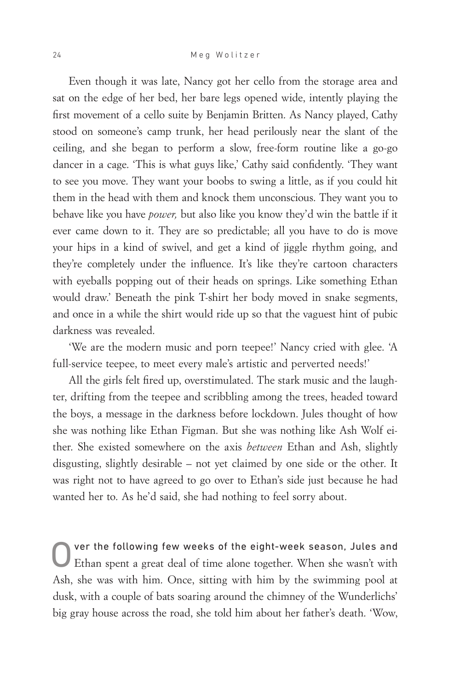Even though it was late, Nancy got her cello from the storage area and sat on the edge of her bed, her bare legs opened wide, intently playing the first movement of a cello suite by Benjamin Britten. As Nancy played, Cathy stood on someone's camp trunk, her head perilously near the slant of the ceiling, and she began to perform a slow, free-form routine like a go‑go dancer in a cage. 'This is what guys like,' Cathy said confidently. 'They want to see you move. They want your boobs to swing a little, as if you could hit them in the head with them and knock them unconscious. They want you to behave like you have *power,* but also like you know they'd win the battle if it ever came down to it. They are so predictable; all you have to do is move your hips in a kind of swivel, and get a kind of jiggle rhythm going, and they're completely under the influence. It's like they're cartoon characters with eyeballs popping out of their heads on springs. Like something Ethan would draw.' Beneath the pink T‑shirt her body moved in snake segments, and once in a while the shirt would ride up so that the vaguest hint of pubic darkness was revealed.

'We are the modern music and porn teepee!' Nancy cried with glee. 'A full-service teepee, to meet every male's artistic and perverted needs!'

All the girls felt fired up, overstimulated. The stark music and the laughter, drifting from the teepee and scribbling among the trees, headed toward the boys, a message in the darkness before lockdown. Jules thought of how she was nothing like Ethan Figman. But she was nothing like Ash Wolf ei‑ ther. She existed somewhere on the axis *between* Ethan and Ash, slightly disgusting, slightly desirable – not yet claimed by one side or the other. It was right not to have agreed to go over to Ethan's side just because he had wanted her to. As he'd said, she had nothing to feel sorry about.

Over the following few weeks of the eight-week season, Jules and Ethan spent a great deal of time alone together. When she wasn't with Ash, she was with him. Once, sitting with him by the swimming pool at dusk, with a couple of bats soaring around the chimney of the Wunderlichs' big gray house across the road, she told him about her father's death. 'Wow,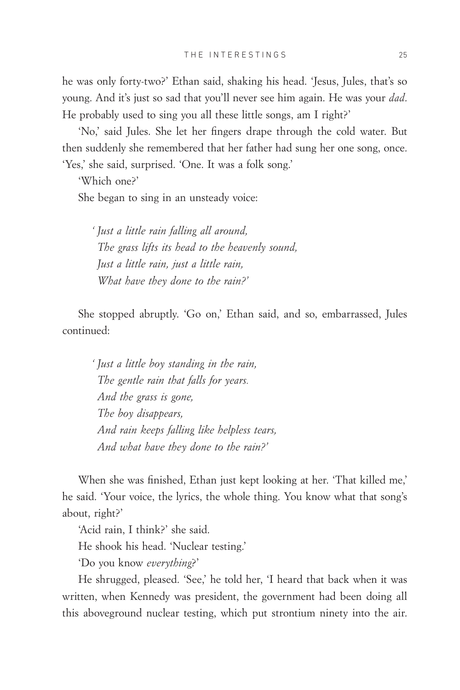he was only forty-two?' Ethan said, shaking his head. 'Jesus, Jules, that's so young. And it's just so sad that you'll never see him again. He was your *dad*. He probably used to sing you all these little songs, am I right?'

'No,' said Jules. She let her fingers drape through the cold water. But then suddenly she remembered that her father had sung her one song, once. 'Yes,' she said, surprised. 'One. It was a folk song.'

'Which one?'

She began to sing in an unsteady voice:

*Just a little rain falling all around, ' The grass lifts its head to the heavenly sound, Just a little rain, just a little rain, What have they done to the rain?'*

She stopped abruptly. 'Go on,' Ethan said, and so, embarrassed, Jules continued:

*Just a little boy standing in the rain, ' The gentle rain that falls for years. And the grass is gone, The boy disappears, And rain keeps falling like helpless tears, And what have they done to the rain?'*

When she was finished, Ethan just kept looking at her. 'That killed me,' he said. 'Your voice, the lyrics, the whole thing. You know what that song's about, right?'

'Acid rain, I think?' she said.

He shook his head. 'Nuclear testing.'

'Do you know *everything*?'

He shrugged, pleased. 'See,' he told her, 'I heard that back when it was written, when Kennedy was president, the government had been doing all this aboveground nuclear testing, which put strontium ninety into the air.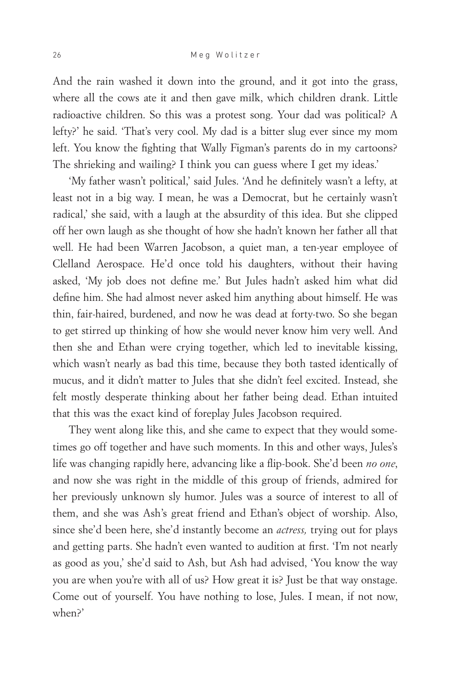And the rain washed it down into the ground, and it got into the grass, where all the cows ate it and then gave milk, which children drank. Little radioactive children. So this was a protest song. Your dad was political? A lefty?' he said. 'That's very cool. My dad is a bitter slug ever since my mom left. You know the fighting that Wally Figman's parents do in my cartoons? The shrieking and wailing? I think you can guess where I get my ideas.'

'My father wasn't political,' said Jules. 'And he definitely wasn't a lefty, at least not in a big way. I mean, he was a Democrat, but he certainly wasn't radical,' she said, with a laugh at the absurdity of this idea. But she clipped off her own laugh as she thought of how she hadn't known her father all that well. He had been Warren Jacobson, a quiet man, a ten-year employee of Clelland Aerospace. He'd once told his daughters, without their having asked, 'My job does not define me.' But Jules hadn't asked him what did define him. She had almost never asked him anything about himself. He was thin, fair-haired, burdened, and now he was dead at forty-two. So she began to get stirred up thinking of how she would never know him very well. And then she and Ethan were crying together, which led to inevitable kissing, which wasn't nearly as bad this time, because they both tasted identically of mucus, and it didn't matter to Jules that she didn't feel excited. Instead, she felt mostly desperate thinking about her father being dead. Ethan intuited that this was the exact kind of foreplay Jules Jacobson required.

They went along like this, and she came to expect that they would sometimes go off together and have such moments. In this and other ways, Jules's life was changing rapidly here, advancing like a flip-book. She'd been *no one*, and now she was right in the middle of this group of friends, admired for her previously unknown sly humor. Jules was a source of interest to all of them, and she was Ash's great friend and Ethan's object of worship. Also, since she'd been here, she'd instantly become an *actress,* trying out for plays and getting parts. She hadn't even wanted to audition at first. 'I'm not nearly as good as you,' she'd said to Ash, but Ash had advised, 'You know the way you are when you're with all of us? How great it is? Just be that way onstage. Come out of yourself. You have nothing to lose, Jules. I mean, if not now, when?'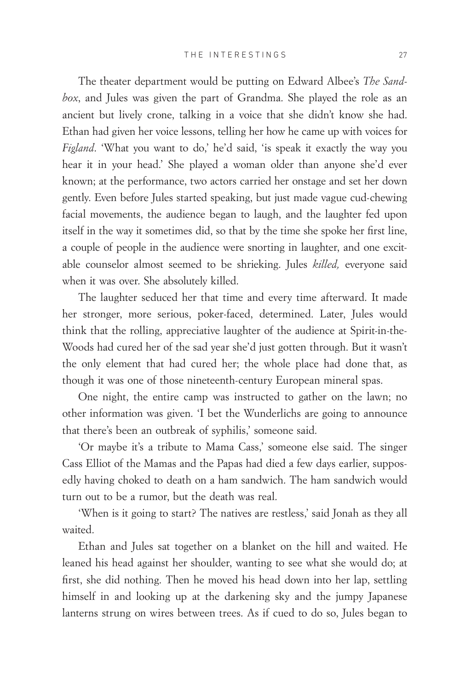The theater department would be putting on Edward Albee's *The Sandbox*, and Jules was given the part of Grandma. She played the role as an ancient but lively crone, talking in a voice that she didn't know she had. Ethan had given her voice lessons, telling her how he came up with voices for *Figland*. 'What you want to do,' he'd said, 'is speak it exactly the way you hear it in your head.' She played a woman older than anyone she'd ever known; at the performance, two actors carried her onstage and set her down gently. Even before Jules started speaking, but just made vague cud-chewing facial movements, the audience began to laugh, and the laughter fed upon itself in the way it sometimes did, so that by the time she spoke her first line, a couple of people in the audience were snorting in laughter, and one excitable counselor almost seemed to be shrieking. Jules *killed,* everyone said when it was over. She absolutely killed.

The laughter seduced her that time and every time afterward. It made her stronger, more serious, poker-faced, determined. Later, Jules would think that the rolling, appreciative laughter of the audience at Spirit-in-the-Woods had cured her of the sad year she'd just gotten through. But it wasn't the only element that had cured her; the whole place had done that, as though it was one of those nineteenth-century European mineral spas.

One night, the entire camp was instructed to gather on the lawn; no other information was given. 'I bet the Wunderlichs are going to announce that there's been an outbreak of syphilis,' someone said.

'Or maybe it's a tribute to Mama Cass,' someone else said. The singer Cass Elliot of the Mamas and the Papas had died a few days earlier, supposedly having choked to death on a ham sandwich. The ham sandwich would turn out to be a rumor, but the death was real.

'When is it going to start? The natives are restless,' said Jonah as they all waited.

Ethan and Jules sat together on a blanket on the hill and waited. He leaned his head against her shoulder, wanting to see what she would do; at first, she did nothing. Then he moved his head down into her lap, settling himself in and looking up at the darkening sky and the jumpy Japanese lanterns strung on wires between trees. As if cued to do so, Jules began to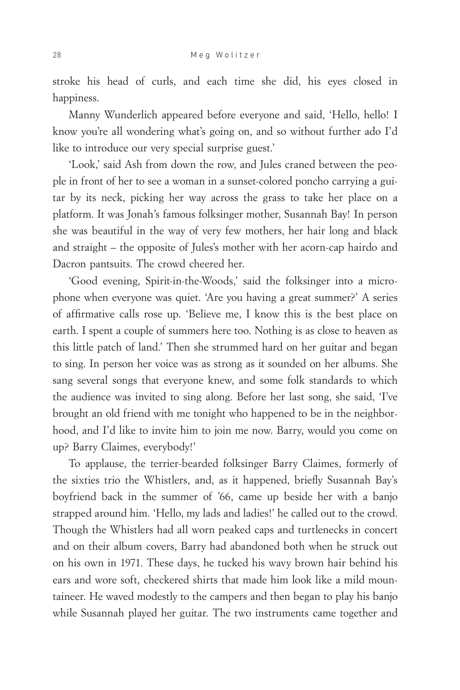stroke his head of curls, and each time she did, his eyes closed in happiness.

Manny Wunderlich appeared before everyone and said, 'Hello, hello! I know you're all wondering what's going on, and so without further ado I'd like to introduce our very special surprise guest.'

'Look,' said Ash from down the row, and Jules craned between the people in front of her to see a woman in a sunset-colored poncho carrying a guitar by its neck, picking her way across the grass to take her place on a platform. It was Jonah's famous folksinger mother, Susannah Bay! In person she was beautiful in the way of very few mothers, her hair long and black and straight – the opposite of Jules's mother with her acorn-cap hairdo and Dacron pantsuits. The crowd cheered her.

'Good evening, Spirit-in-the-Woods,' said the folksinger into a microphone when everyone was quiet. 'Are you having a great summer?' A series of affirmative calls rose up. 'Believe me, I know this is the best place on earth. I spent a couple of summers here too. Nothing is as close to heaven as this little patch of land.' Then she strummed hard on her guitar and began to sing. In person her voice was as strong as it sounded on her albums. She sang several songs that everyone knew, and some folk standards to which the audience was invited to sing along. Before her last song, she said, 'I've brought an old friend with me tonight who happened to be in the neighborhood, and I'd like to invite him to join me now. Barry, would you come on up? Barry Claimes, everybody!'

To applause, the terrier-bearded folksinger Barry Claimes, formerly of the sixties trio the Whistlers, and, as it happened, briefly Susannah Bay's boyfriend back in the summer of '66, came up beside her with a banjo strapped around him. 'Hello, my lads and ladies!' he called out to the crowd. Though the Whistlers had all worn peaked caps and turtlenecks in concert and on their album covers, Barry had abandoned both when he struck out on his own in 1971. These days, he tucked his wavy brown hair behind his ears and wore soft, checkered shirts that made him look like a mild mountaineer. He waved modestly to the campers and then began to play his banjo while Susannah played her guitar. The two instruments came together and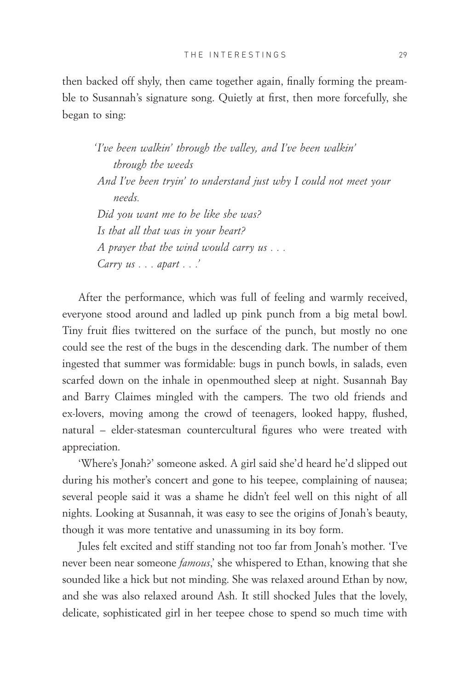then backed off shyly, then came together again, finally forming the preamble to Susannah's signature song. Quietly at first, then more forcefully, she began to sing:

*I've been walkin' through the valley, and I've been walkin' ' through the weeds And I've been tryin' to understand just why I could not meet your needs. Did you want me to be like she was? Is that all that was in your heart? A prayer that the wind would carry us . . . Carry us . . . apart . . .'*

After the performance, which was full of feeling and warmly received, everyone stood around and ladled up pink punch from a big metal bowl. Tiny fruit flies twittered on the surface of the punch, but mostly no one could see the rest of the bugs in the descending dark. The number of them ingested that summer was formidable: bugs in punch bowls, in salads, even scarfed down on the inhale in openmouthed sleep at night. Susannah Bay and Barry Claimes mingled with the campers. The two old friends and ex-lovers, moving among the crowd of teenagers, looked happy, flushed, natural – elder-statesman countercultural figures who were treated with appreciation.

'Where's Jonah?' someone asked. A girl said she'd heard he'd slipped out during his mother's concert and gone to his teepee, complaining of nausea; several people said it was a shame he didn't feel well on this night of all nights. Looking at Susannah, it was easy to see the origins of Jonah's beauty, though it was more tentative and unassuming in its boy form.

Jules felt excited and stiff standing not too far from Jonah's mother. 'I've never been near someone *famous*,' she whispered to Ethan, knowing that she sounded like a hick but not minding. She was relaxed around Ethan by now, and she was also relaxed around Ash. It still shocked Jules that the lovely, delicate, sophisticated girl in her teepee chose to spend so much time with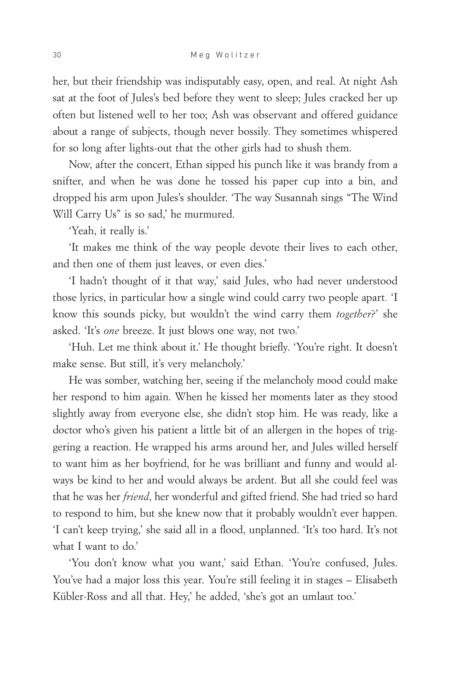her, but their friendship was indisputably easy, open, and real. At night Ash sat at the foot of Jules's bed before they went to sleep; Jules cracked her up often but listened well to her too; Ash was observant and offered guidance about a range of subjects, though never bossily. They sometimes whispered for so long after lights-out that the other girls had to shush them.

Now, after the concert, Ethan sipped his punch like it was brandy from a snifter, and when he was done he tossed his paper cup into a bin, and dropped his arm upon Jules's shoulder. 'The way Susannah sings "The Wind Will Carry Us" is so sad,' he murmured.

'Yeah, it really is.'

'It makes me think of the way people devote their lives to each other, and then one of them just leaves, or even dies.'

'I hadn't thought of it that way,' said Jules, who had never understood those lyrics, in particular how a single wind could carry two people apart*.* 'I know this sounds picky, but wouldn't the wind carry them *together*?' she asked. 'It's *one* breeze. It just blows one way, not two.'

'Huh. Let me think about it.' He thought briefly. 'You're right. It doesn't make sense. But still, it's very melancholy.'

He was somber, watching her, seeing if the melancholy mood could make her respond to him again. When he kissed her moments later as they stood slightly away from everyone else, she didn't stop him. He was ready, like a doctor who's given his patient a little bit of an allergen in the hopes of triggering a reaction. He wrapped his arms around her, and Jules willed herself to want him as her boyfriend, for he was brilliant and funny and would always be kind to her and would always be ardent. But all she could feel was that he was her *friend*, her wonderful and gifted friend. She had tried so hard to respond to him, but she knew now that it probably wouldn't ever happen. 'I can't keep trying,' she said all in a flood, unplanned. 'It's too hard. It's not what I want to do.'

'You don't know what you want,' said Ethan. 'You're confused, Jules. You've had a major loss this year. You're still feeling it in stages – Elisabeth Kübler-Ross and all that. Hey,' he added, 'she's got an umlaut too.'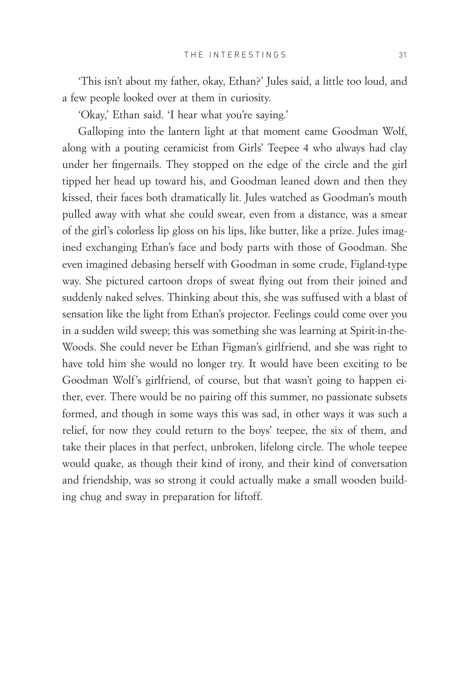'This isn't about my father, okay, Ethan?' Jules said, a little too loud, and a few people looked over at them in curiosity.

'Okay,' Ethan said. 'I hear what you're saying.'

Galloping into the lantern light at that moment came Goodman Wolf, along with a pouting ceramicist from Girls' Teepee 4 who always had clay under her fingernails. They stopped on the edge of the circle and the girl tipped her head up toward his, and Goodman leaned down and then they kissed, their faces both dramatically lit. Jules watched as Goodman's mouth pulled away with what she could swear, even from a distance, was a smear of the girl's colorless lip gloss on his lips, like butter, like a prize. Jules imagined exchanging Ethan's face and body parts with those of Goodman. She even imagined debasing herself with Goodman in some crude, Figland-type way. She pictured cartoon drops of sweat flying out from their joined and suddenly naked selves. Thinking about this, she was suffused with a blast of sensation like the light from Ethan's projector. Feelings could come over you in a sudden wild sweep; this was something she was learning at Spirit-in-the-Woods. She could never be Ethan Figman's girlfriend, and she was right to have told him she would no longer try. It would have been exciting to be Goodman Wolf's girlfriend, of course, but that wasn't going to happen ei‑ ther, ever. There would be no pairing off this summer, no passionate subsets formed, and though in some ways this was sad, in other ways it was such a relief, for now they could return to the boys' teepee, the six of them, and take their places in that perfect, unbroken, lifelong circle. The whole teepee would quake, as though their kind of irony, and their kind of conversation and friendship, was so strong it could actually make a small wooden building chug and sway in preparation for liftoff.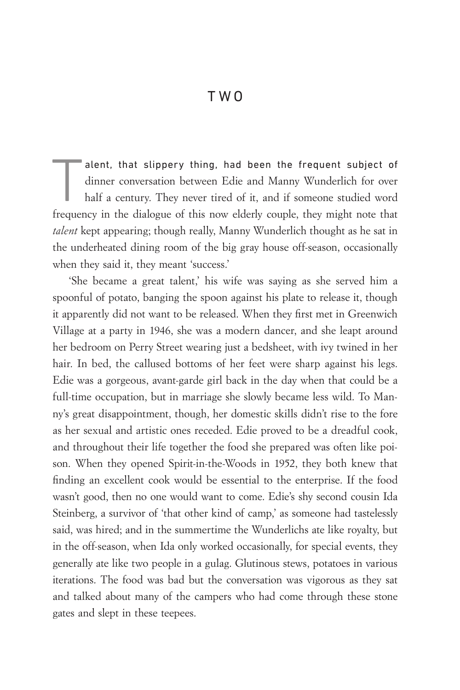## T w o

alent, that slippery thing, had been the frequent subject of dinner conversation between Edie and Manny Wunderlich for over half a century. They never tired of it, and if someone studied word dinner conversation between Edie and Manny Wunderlich for over half a century. They never tired of it, and if someone studied word frequency in the dialogue of this now elderly couple, they might note that *talent* kept appearing; though really, Manny Wunderlich thought as he sat in the underheated dining room of the big gray house off-season, occasionally when they said it, they meant 'success.'

'She became a great talent,' his wife was saying as she served him a spoonful of potato, banging the spoon against his plate to release it, though it apparently did not want to be released. When they first met in Greenwich Village at a party in 1946, she was a modern dancer, and she leapt around her bedroom on Perry Street wearing just a bedsheet, with ivy twined in her hair. In bed, the callused bottoms of her feet were sharp against his legs. Edie was a gorgeous, avant-garde girl back in the day when that could be a full-time occupation, but in marriage she slowly became less wild. To Manny's great disappointment, though, her domestic skills didn't rise to the fore as her sexual and artistic ones receded. Edie proved to be a dreadful cook, and throughout their life together the food she prepared was often like poison. When they opened Spirit-in-the-Woods in 1952, they both knew that finding an excellent cook would be essential to the enterprise. If the food wasn't good, then no one would want to come. Edie's shy second cousin Ida Steinberg, a survivor of 'that other kind of camp,' as someone had tastelessly said, was hired; and in the summertime the Wunderlichs ate like royalty, but in the off-season, when Ida only worked occasionally, for special events, they generally ate like two people in a gulag. Glutinous stews, potatoes in various iterations. The food was bad but the conversation was vigorous as they sat and talked about many of the campers who had come through these stone gates and slept in these teepees.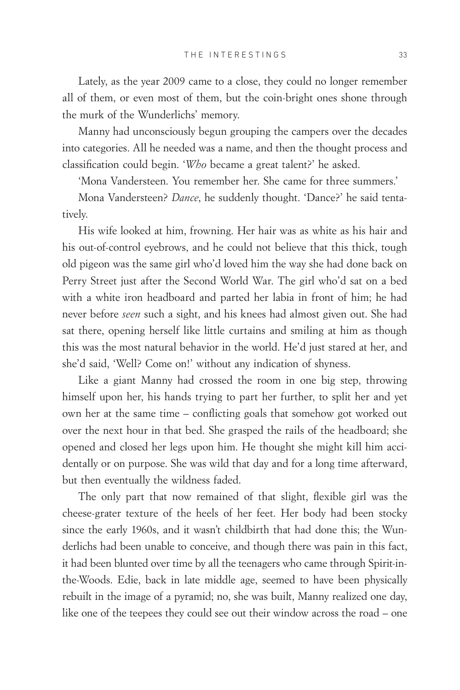Lately, as the year 2009 came to a close, they could no longer remember all of them, or even most of them, but the coin-bright ones shone through the murk of the Wunderlichs' memory.

Manny had unconsciously begun grouping the campers over the decades into categories. All he needed was a name, and then the thought process and classification could begin. '*Who* became a great talent?' he asked.

'Mona Vandersteen. You remember her. She came for three summers.'

Mona Vandersteen? *Dance*, he suddenly thought. 'Dance?' he said tentatively.

His wife looked at him, frowning. Her hair was as white as his hair and his out-of-control eyebrows, and he could not believe that this thick, tough old pigeon was the same girl who'd loved him the way she had done back on Perry Street just after the Second World War. The girl who'd sat on a bed with a white iron headboard and parted her labia in front of him; he had never before *seen* such a sight, and his knees had almost given out. She had sat there, opening herself like little curtains and smiling at him as though this was the most natural behavior in the world. He'd just stared at her, and she'd said, 'Well? Come on!' without any indication of shyness.

Like a giant Manny had crossed the room in one big step, throwing himself upon her, his hands trying to part her further, to split her and yet own her at the same time – conflicting goals that somehow got worked out over the next hour in that bed. She grasped the rails of the headboard; she opened and closed her legs upon him. He thought she might kill him accidentally or on purpose. She was wild that day and for a long time afterward, but then eventually the wildness faded.

The only part that now remained of that slight, flexible girl was the cheese-grater texture of the heels of her feet. Her body had been stocky since the early 1960s, and it wasn't childbirth that had done this; the Wunderlichs had been unable to conceive, and though there was pain in this fact, it had been blunted over time by all the teenagers who came through Spirit-inthe-Woods. Edie, back in late middle age, seemed to have been physically rebuilt in the image of a pyramid; no, she was built, Manny realized one day, like one of the teepees they could see out their window across the road – one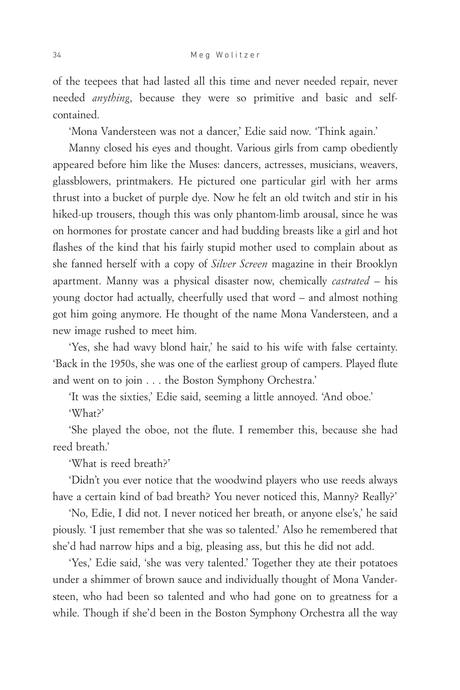of the teepees that had lasted all this time and never needed repair, never needed *anything*, because they were so primitive and basic and self-contained.

'Mona Vandersteen was not a dancer,' Edie said now. 'Think again.'

Manny closed his eyes and thought. Various girls from camp obediently appeared before him like the Muses: dancers, actresses, musicians, weavers, glassblowers, printmakers. He pictured one particular girl with her arms thrust into a bucket of purple dye. Now he felt an old twitch and stir in his hiked-up trousers, though this was only phantom-limb arousal, since he was on hormones for prostate cancer and had budding breasts like a girl and hot flashes of the kind that his fairly stupid mother used to complain about as she fanned herself with a copy of *Silver Screen* magazine in their Brooklyn apartment. Manny was a physical disaster now, chemically *castrated* – his young doctor had actually, cheerfully used that word – and almost nothing got him going anymore. He thought of the name Mona Vandersteen, and a new image rushed to meet him.

'Yes, she had wavy blond hair,' he said to his wife with false certainty. 'Back in the 1950s, she was one of the earliest group of campers. Played flute and went on to join . . . the Boston Symphony Orchestra.'

'It was the sixties,' Edie said, seeming a little annoyed. 'And oboe.' 'What?'

'She played the oboe, not the flute. I remember this, because she had reed breath.'

'What is reed breath?'

'Didn't you ever notice that the woodwind players who use reeds always have a certain kind of bad breath? You never noticed this, Manny? Really?'

'No, Edie, I did not. I never noticed her breath, or anyone else's,' he said piously. 'I just remember that she was so talented.' Also he remembered that she'd had narrow hips and a big, pleasing ass, but this he did not add.

'Yes,' Edie said, 'she was very talented.' Together they ate their potatoes under a shimmer of brown sauce and individually thought of Mona Vandersteen, who had been so talented and who had gone on to greatness for a while. Though if she'd been in the Boston Symphony Orchestra all the way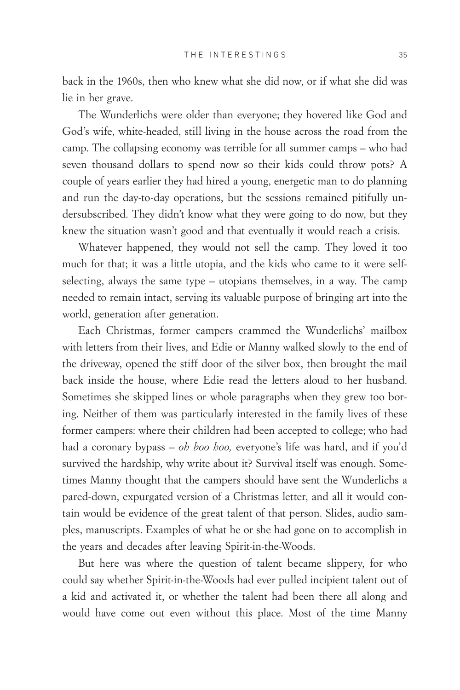back in the 1960s, then who knew what she did now, or if what she did was lie in her grave.

The Wunderlichs were older than everyone; they hovered like God and God's wife, white-headed, still living in the house across the road from the camp. The collapsing economy was terrible for all summer camps – who had seven thousand dollars to spend now so their kids could throw pots? A couple of years earlier they had hired a young, energetic man to do planning and run the day-to-day operations, but the sessions remained pitifully undersubscribed. They didn't know what they were going to do now, but they knew the situation wasn't good and that eventually it would reach a crisis.

Whatever happened, they would not sell the camp. They loved it too much for that; it was a little utopia, and the kids who came to it were self selecting, always the same type – utopians themselves, in a way. The camp needed to remain intact, serving its valuable purpose of bringing art into the world, generation after generation.

Each Christmas, former campers crammed the Wunderlichs' mailbox with letters from their lives, and Edie or Manny walked slowly to the end of the driveway, opened the stiff door of the silver box, then brought the mail back inside the house, where Edie read the letters aloud to her husband. Sometimes she skipped lines or whole paragraphs when they grew too bor– ing. Neither of them was particularly interested in the family lives of these former campers: where their children had been accepted to college; who had had a coronary bypass – *oh boo hoo,* everyone's life was hard, and if you'd survived the hardship, why write about it? Survival itself was enough. Sometimes Manny thought that the campers should have sent the Wunderlichs a pared-down, expurgated version of a Christmas letter, and all it would contain would be evidence of the great talent of that person. Slides, audio samples, manuscripts. Examples of what he or she had gone on to accomplish in the years and decades after leaving Spirit‑in‑the-Woods.

But here was where the question of talent became slippery, for who could say whether Spirit‑in‑the-Woods had ever pulled incipient talent out of a kid and activated it, or whether the talent had been there all along and would have come out even without this place. Most of the time Manny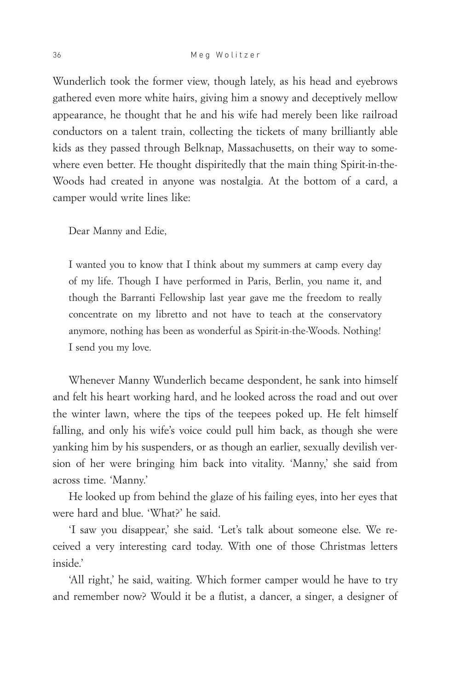Wunderlich took the former view, though lately, as his head and eyebrows gathered even more white hairs, giving him a snowy and deceptively mellow appearance, he thought that he and his wife had merely been like railroad conductors on a talent train, collecting the tickets of many brilliantly able kids as they passed through Belknap, Massachusetts, on their way to somewhere even better. He thought dispiritedly that the main thing Spirit-in-the-Woods had created in anyone was nostalgia. At the bottom of a card, a camper would write lines like:

Dear Manny and Edie,

I wanted you to know that I think about my summers at camp every day of my life. Though I have performed in Paris, Berlin, you name it, and though the Barranti Fellowship last year gave me the freedom to really concentrate on my libretto and not have to teach at the conservatory anymore, nothing has been as wonderful as Spirit‑in‑the-Woods. Nothing! I send you my love.

Whenever Manny Wunderlich became despondent, he sank into himself and felt his heart working hard, and he looked across the road and out over the winter lawn, where the tips of the teepees poked up. He felt himself falling, and only his wife's voice could pull him back, as though she were yanking him by his suspenders, or as though an earlier, sexually devilish version of her were bringing him back into vitality. 'Manny,' she said from across time. 'Manny.'

He looked up from behind the glaze of his failing eyes, into her eyes that were hard and blue. 'What?' he said.

'I saw you disappear,' she said. 'Let's talk about someone else. We re‑ ceived a very interesting card today. With one of those Christmas letters inside.'

'All right,' he said, waiting. Which former camper would he have to try and remember now? Would it be a flutist, a dancer, a singer, a designer of